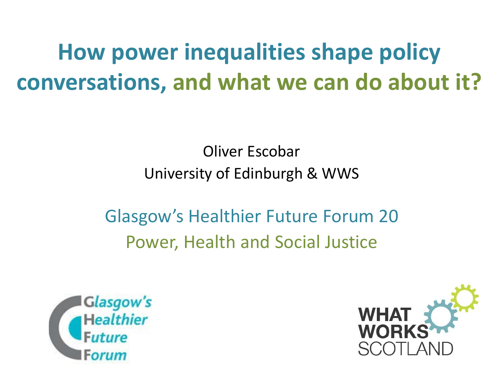**How power inequalities shape policy conversations, and what we can do about it?** 

> Oliver Escobar University of Edinburgh & WWS

Glasgow's Healthier Future Forum 20 Power, Health and Social Justice



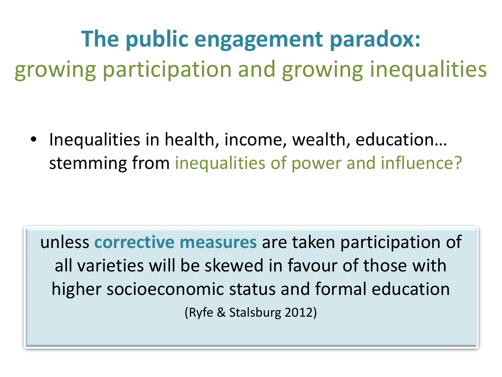### **The public engagement paradox:**  growing participation and growing inequalities

• Inequalities in health, income, wealth, education… stemming from inequalities of power and influence?

unless **corrective measures** are taken participation of all varieties will be skewed in favour of those with higher socioeconomic status and formal education (Ryfe & Stalsburg 2012)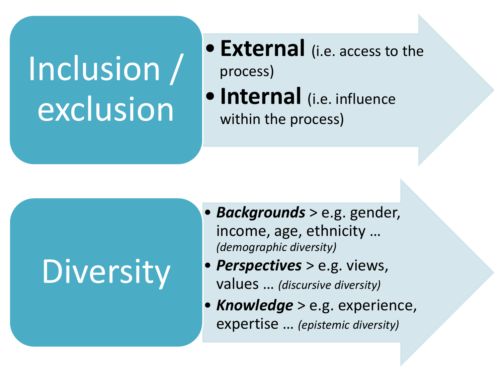# Inclusion / exclusion

- **External** (i.e. access to the process)
- **Internal** (i.e. influence within the process)

## Diversity

- *Backgrounds* > e.g. gender, income, age, ethnicity … *(demographic diversity)*
- *Perspectives* > e.g. views, values … *(discursive diversity)*
- *Knowledge* > e.g. experience, expertise … *(epistemic diversity)*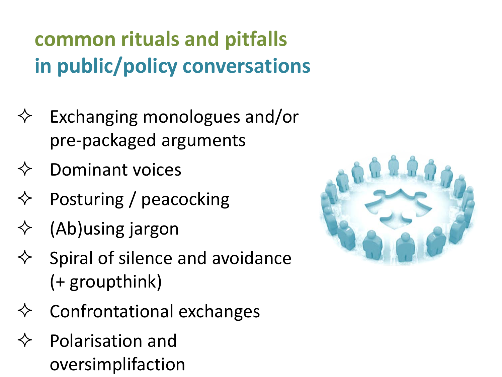#### **common rituals and pitfalls in public/policy conversations**

- Exchanging monologues and/or pre-packaged arguments
- $\Leftrightarrow$  Dominant voices
- $\Diamond$  Posturing / peacocking
- $\diamondsuit$  (Ab)using jargon
- $\Leftrightarrow$  Spiral of silence and avoidance (+ groupthink)
- Confrontational exchanges
- Polarisation and oversimplifaction

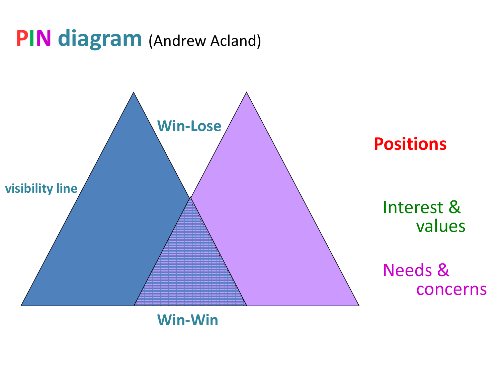#### **PIN diagram** (Andrew Acland)



**Win-Win**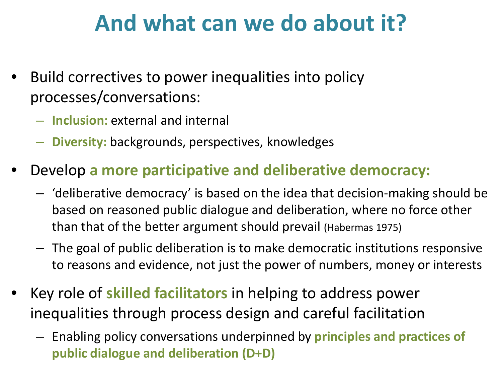#### **And what can we do about it?**

- Build correctives to power inequalities into policy processes/conversations:
	- **Inclusion:** external and internal
	- **Diversity:** backgrounds, perspectives, knowledges
- Develop **a more participative and deliberative democracy:**
	- 'deliberative democracy' is based on the idea that decision-making should be based on reasoned public dialogue and deliberation, where no force other than that of the better argument should prevail (Habermas 1975)
	- The goal of public deliberation is to make democratic institutions responsive to reasons and evidence, not just the power of numbers, money or interests
- Key role of **skilled facilitators** in helping to address power inequalities through process design and careful facilitation
	- Enabling policy conversations underpinned by **principles and practices of public dialogue and deliberation (D+D)**